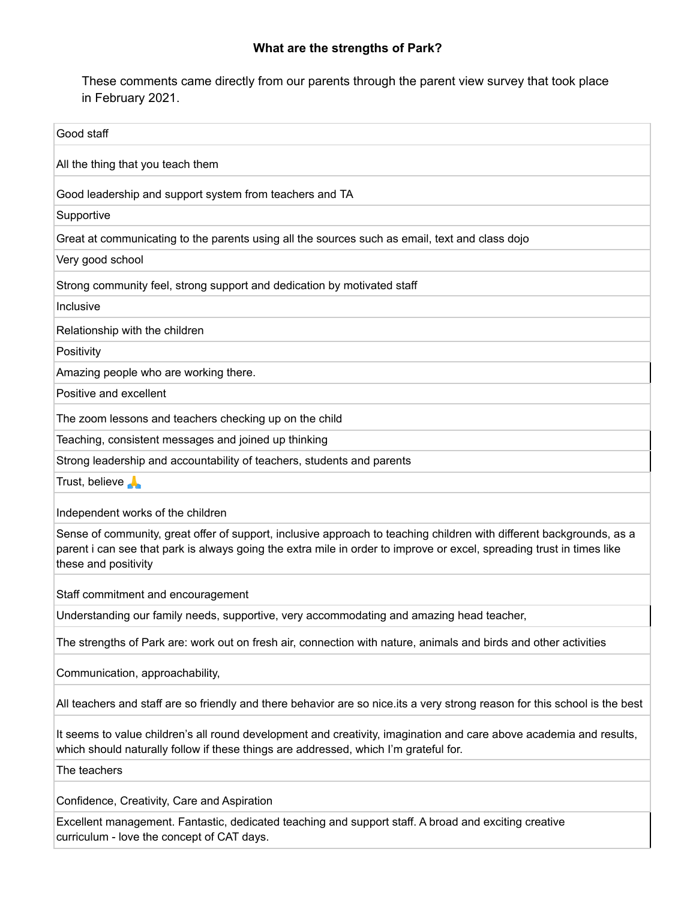## **What are the strengths of Park?**

These comments came directly from our parents through the parent view survey that took place in February 2021.

| Good staff                                                                                                                                                                                                                                                            |
|-----------------------------------------------------------------------------------------------------------------------------------------------------------------------------------------------------------------------------------------------------------------------|
| All the thing that you teach them                                                                                                                                                                                                                                     |
| Good leadership and support system from teachers and TA                                                                                                                                                                                                               |
| Supportive                                                                                                                                                                                                                                                            |
| Great at communicating to the parents using all the sources such as email, text and class dojo                                                                                                                                                                        |
| Very good school                                                                                                                                                                                                                                                      |
| Strong community feel, strong support and dedication by motivated staff                                                                                                                                                                                               |
| Inclusive                                                                                                                                                                                                                                                             |
| Relationship with the children                                                                                                                                                                                                                                        |
| Positivity                                                                                                                                                                                                                                                            |
| Amazing people who are working there.                                                                                                                                                                                                                                 |
| Positive and excellent                                                                                                                                                                                                                                                |
| The zoom lessons and teachers checking up on the child                                                                                                                                                                                                                |
| Teaching, consistent messages and joined up thinking                                                                                                                                                                                                                  |
| Strong leadership and accountability of teachers, students and parents                                                                                                                                                                                                |
| Trust, believe                                                                                                                                                                                                                                                        |
| Independent works of the children                                                                                                                                                                                                                                     |
| Sense of community, great offer of support, inclusive approach to teaching children with different backgrounds, as a<br>parent i can see that park is always going the extra mile in order to improve or excel, spreading trust in times like<br>these and positivity |
| Staff commitment and encouragement                                                                                                                                                                                                                                    |
| Understanding our family needs, supportive, very accommodating and amazing head teacher,                                                                                                                                                                              |
| The strengths of Park are: work out on fresh air, connection with nature, animals and birds and other activities                                                                                                                                                      |
| Communication, approachability,                                                                                                                                                                                                                                       |
| All teachers and staff are so friendly and there behavior are so nice.its a very strong reason for this school is the best                                                                                                                                            |
| It seems to value children's all round development and creativity, imagination and care above academia and results,<br>which should naturally follow if these things are addressed, which I'm grateful for.                                                           |
| The teachers                                                                                                                                                                                                                                                          |
| Confidence, Creativity, Care and Aspiration                                                                                                                                                                                                                           |
| Excellent management. Fantastic, dedicated teaching and support staff. A broad and exciting creative<br>curriculum - love the concept of CAT days.                                                                                                                    |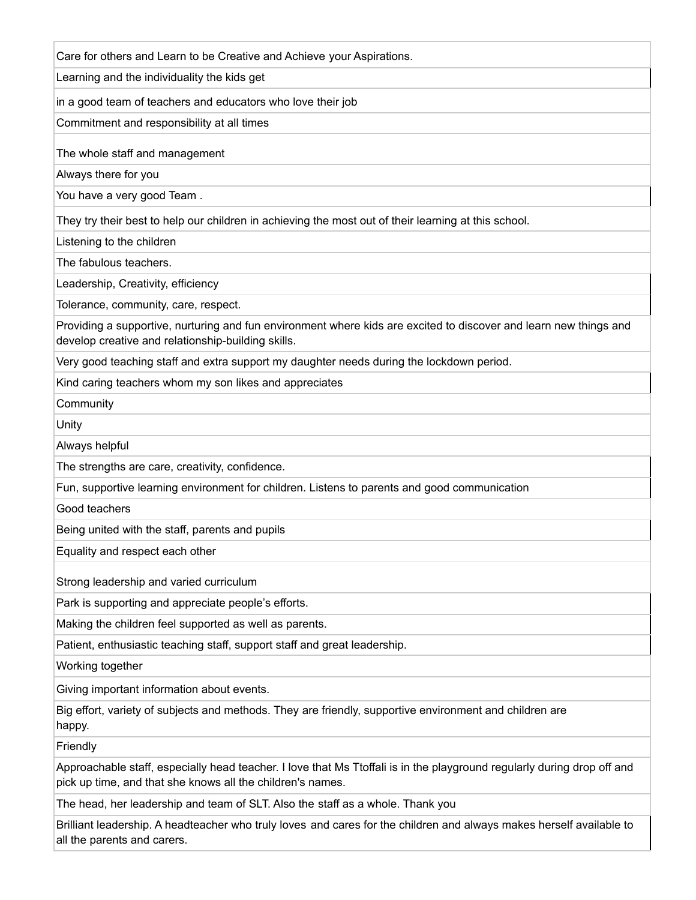Care for others and Learn to be Creative and Achieve your Aspirations.

Learning and the individuality the kids get

in a good team of teachers and educators who love their job

Commitment and responsibility at all times

The whole staff and management

Always there for you

You have a very good Team .

They try their best to help our children in achieving the most out of their learning at this school.

Listening to the children

The fabulous teachers.

Leadership, Creativity, efficiency

Tolerance, community, care, respect.

Providing a supportive, nurturing and fun environment where kids are excited to discover and learn new things and develop creative and relationship-building skills.

Very good teaching staff and extra support my daughter needs during the lockdown period.

Kind caring teachers whom my son likes and appreciates

**Community** 

Unity

Always helpful

The strengths are care, creativity, confidence.

Fun, supportive learning environment for children. Listens to parents and good communication

Good teachers

Being united with the staff, parents and pupils

Equality and respect each other

Strong leadership and varied curriculum

Park is supporting and appreciate people's efforts.

Making the children feel supported as well as parents.

Patient, enthusiastic teaching staff, support staff and great leadership.

Working together

Giving important information about events.

Big effort, variety of subjects and methods. They are friendly, supportive environment and children are happy.

Friendly

Approachable staff, especially head teacher. I love that Ms Ttoffali is in the playground regularly during drop off and pick up time, and that she knows all the children's names.

The head, her leadership and team of SLT. Also the staff as a whole. Thank you

Brilliant leadership. A headteacher who truly loves and cares for the children and always makes herself available to all the parents and carers.